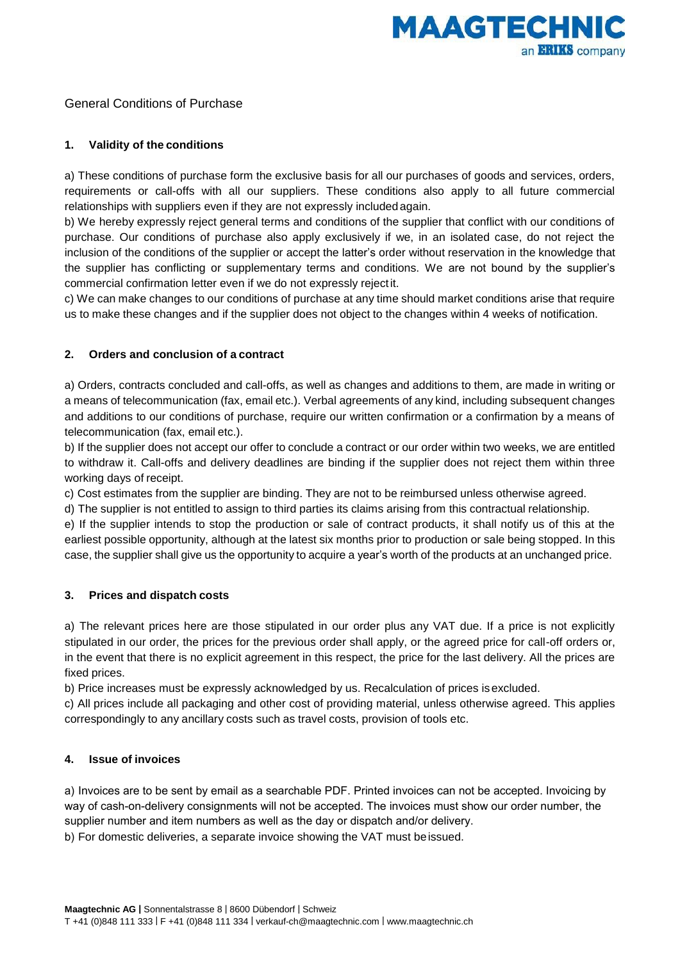

# General Conditions of Purchase

## **1. Validity of the conditions**

a) These conditions of purchase form the exclusive basis for all our purchases of goods and services, orders, requirements or call-offs with all our suppliers. These conditions also apply to all future commercial relationships with suppliers even if they are not expressly included again.

b) We hereby expressly reject general terms and conditions of the supplier that conflict with our conditions of purchase. Our conditions of purchase also apply exclusively if we, in an isolated case, do not reject the inclusion of the conditions of the supplier or accept the latter's order without reservation in the knowledge that the supplier has conflicting or supplementary terms and conditions. We are not bound by the supplier's commercial confirmation letter even if we do not expressly reject it.

c) We can make changes to our conditions of purchase at any time should market conditions arise that require us to make these changes and if the supplier does not object to the changes within 4 weeks of notification.

## **2. Orders and conclusion of a contract**

a) Orders, contracts concluded and call-offs, as well as changes and additions to them, are made in writing or a means of telecommunication (fax, email etc.). Verbal agreements of any kind, including subsequent changes and additions to our conditions of purchase, require our written confirmation or a confirmation by a means of telecommunication (fax, email etc.).

b) If the supplier does not accept our offer to conclude a contract or our order within two weeks, we are entitled to withdraw it. Call-offs and delivery deadlines are binding if the supplier does not reject them within three working days of receipt.

c) Cost estimates from the supplier are binding. They are not to be reimbursed unless otherwise agreed.

d) The supplier is not entitled to assign to third parties its claims arising from this contractual relationship.

e) If the supplier intends to stop the production or sale of contract products, it shall notify us of this at the earliest possible opportunity, although at the latest six months prior to production or sale being stopped. In this case, the supplier shall give us the opportunity to acquire a year's worth of the products at an unchanged price.

## **3. Prices and dispatch costs**

a) The relevant prices here are those stipulated in our order plus any VAT due. If a price is not explicitly stipulated in our order, the prices for the previous order shall apply, or the agreed price for call-off orders or, in the event that there is no explicit agreement in this respect, the price for the last delivery. All the prices are fixed prices.

b) Price increases must be expressly acknowledged by us. Recalculation of prices is excluded.

c) All prices include all packaging and other cost of providing material, unless otherwise agreed. This applies correspondingly to any ancillary costs such as travel costs, provision of tools etc.

## **4. Issue of invoices**

a) Invoices are to be sent by email as a searchable PDF. Printed invoices can not be accepted. Invoicing by way of cash-on-delivery consignments will not be accepted. The invoices must show our order number, the supplier number and item numbers as well as the day or dispatch and/or delivery.

b) For domestic deliveries, a separate invoice showing the VAT must be issued.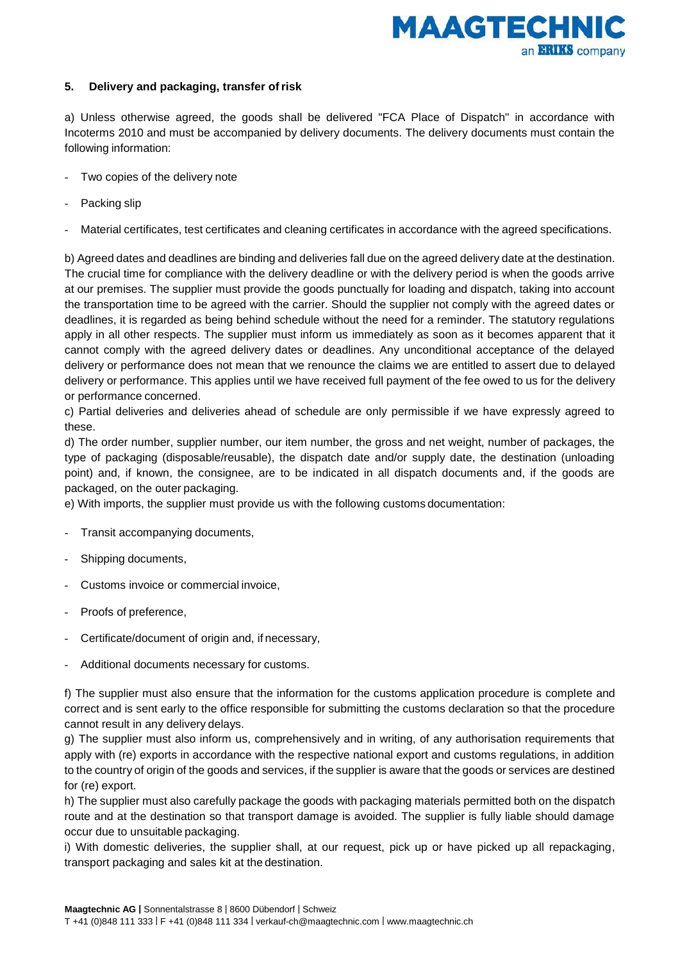

### **5. Delivery and packaging, transfer of risk**

a) Unless otherwise agreed, the goods shall be delivered "FCA Place of Dispatch" in accordance with Incoterms 2010 and must be accompanied by delivery documents. The delivery documents must contain the following information:

- Two copies of the delivery note
- Packing slip
- Material certificates, test certificates and cleaning certificates in accordance with the agreed specifications.

b) Agreed dates and deadlines are binding and deliveries fall due on the agreed delivery date at the destination. The crucial time for compliance with the delivery deadline or with the delivery period is when the goods arrive at our premises. The supplier must provide the goods punctually for loading and dispatch, taking into account the transportation time to be agreed with the carrier. Should the supplier not comply with the agreed dates or deadlines, it is regarded as being behind schedule without the need for a reminder. The statutory regulations apply in all other respects. The supplier must inform us immediately as soon as it becomes apparent that it cannot comply with the agreed delivery dates or deadlines. Any unconditional acceptance of the delayed delivery or performance does not mean that we renounce the claims we are entitled to assert due to delayed delivery or performance. This applies until we have received full payment of the fee owed to us for the delivery or performance concerned.

c) Partial deliveries and deliveries ahead of schedule are only permissible if we have expressly agreed to these.

d) The order number, supplier number, our item number, the gross and net weight, number of packages, the type of packaging (disposable/reusable), the dispatch date and/or supply date, the destination (unloading point) and, if known, the consignee, are to be indicated in all dispatch documents and, if the goods are packaged, on the outer packaging.

e) With imports, the supplier must provide us with the following customs documentation:

- Transit accompanying documents,
- Shipping documents,
- Customs invoice or commercial invoice,
- Proofs of preference.
- Certificate/document of origin and, if necessary,
- Additional documents necessary for customs.

f) The supplier must also ensure that the information for the customs application procedure is complete and correct and is sent early to the office responsible for submitting the customs declaration so that the procedure cannot result in any delivery delays.

g) The supplier must also inform us, comprehensively and in writing, of any authorisation requirements that apply with (re) exports in accordance with the respective national export and customs regulations, in addition to the country of origin of the goods and services, if the supplier is aware that the goods or services are destined for (re) export.

h) The supplier must also carefully package the goods with packaging materials permitted both on the dispatch route and at the destination so that transport damage is avoided. The supplier is fully liable should damage occur due to unsuitable packaging.

i) With domestic deliveries, the supplier shall, at our request, pick up or have picked up all repackaging, transport packaging and sales kit at the destination.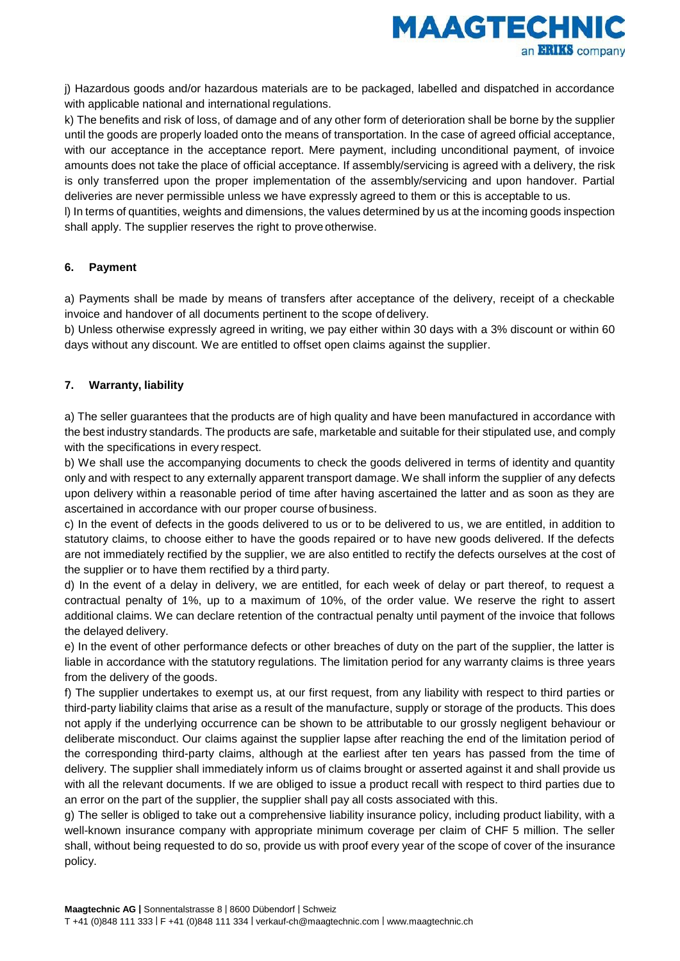

j) Hazardous goods and/or hazardous materials are to be packaged, labelled and dispatched in accordance with applicable national and international regulations.

k) The benefits and risk of loss, of damage and of any other form of deterioration shall be borne by the supplier until the goods are properly loaded onto the means of transportation. In the case of agreed official acceptance, with our acceptance in the acceptance report. Mere payment, including unconditional payment, of invoice amounts does not take the place of official acceptance. If assembly/servicing is agreed with a delivery, the risk is only transferred upon the proper implementation of the assembly/servicing and upon handover. Partial deliveries are never permissible unless we have expressly agreed to them or this is acceptable to us.

l) In terms of quantities, weights and dimensions, the values determined by us at the incoming goods inspection shall apply. The supplier reserves the right to prove otherwise.

## **6. Payment**

a) Payments shall be made by means of transfers after acceptance of the delivery, receipt of a checkable invoice and handover of all documents pertinent to the scope of delivery.

b) Unless otherwise expressly agreed in writing, we pay either within 30 days with a 3% discount or within 60 days without any discount. We are entitled to offset open claims against the supplier.

## **7. Warranty, liability**

a) The seller guarantees that the products are of high quality and have been manufactured in accordance with the best industry standards. The products are safe, marketable and suitable for their stipulated use, and comply with the specifications in every respect.

b) We shall use the accompanying documents to check the goods delivered in terms of identity and quantity only and with respect to any externally apparent transport damage. We shall inform the supplier of any defects upon delivery within a reasonable period of time after having ascertained the latter and as soon as they are ascertained in accordance with our proper course of business.

c) In the event of defects in the goods delivered to us or to be delivered to us, we are entitled, in addition to statutory claims, to choose either to have the goods repaired or to have new goods delivered. If the defects are not immediately rectified by the supplier, we are also entitled to rectify the defects ourselves at the cost of the supplier or to have them rectified by a third party.

d) In the event of a delay in delivery, we are entitled, for each week of delay or part thereof, to request a contractual penalty of 1%, up to a maximum of 10%, of the order value. We reserve the right to assert additional claims. We can declare retention of the contractual penalty until payment of the invoice that follows the delayed delivery.

e) In the event of other performance defects or other breaches of duty on the part of the supplier, the latter is liable in accordance with the statutory regulations. The limitation period for any warranty claims is three years from the delivery of the goods.

f) The supplier undertakes to exempt us, at our first request, from any liability with respect to third parties or third-party liability claims that arise as a result of the manufacture, supply or storage of the products. This does not apply if the underlying occurrence can be shown to be attributable to our grossly negligent behaviour or deliberate misconduct. Our claims against the supplier lapse after reaching the end of the limitation period of the corresponding third-party claims, although at the earliest after ten years has passed from the time of delivery. The supplier shall immediately inform us of claims brought or asserted against it and shall provide us with all the relevant documents. If we are obliged to issue a product recall with respect to third parties due to an error on the part of the supplier, the supplier shall pay all costs associated with this.

g) The seller is obliged to take out a comprehensive liability insurance policy, including product liability, with a well-known insurance company with appropriate minimum coverage per claim of CHF 5 million. The seller shall, without being requested to do so, provide us with proof every year of the scope of cover of the insurance policy.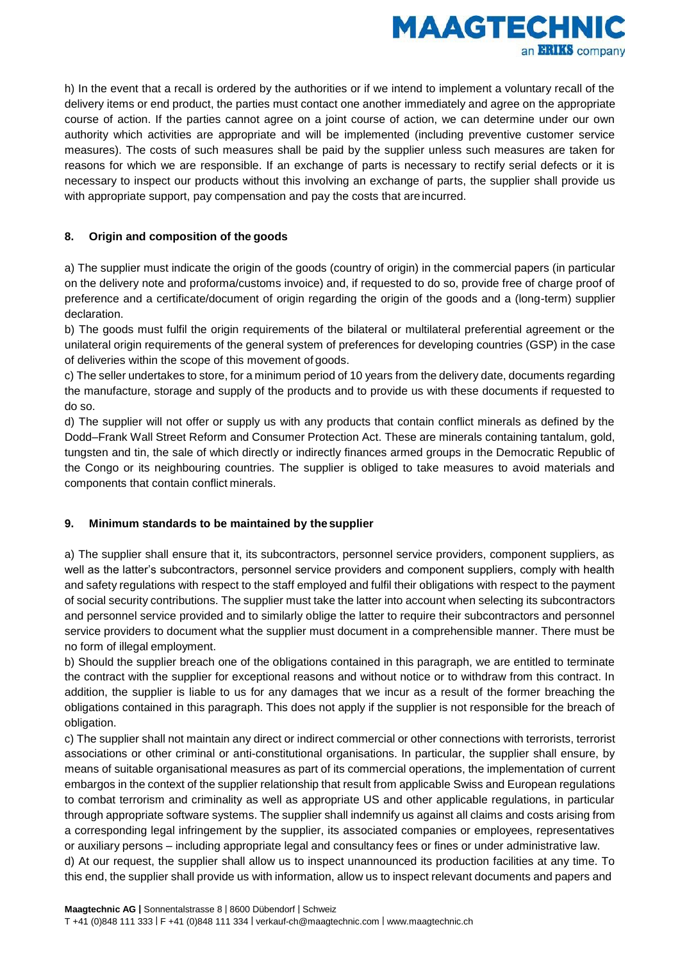

h) In the event that a recall is ordered by the authorities or if we intend to implement a voluntary recall of the delivery items or end product, the parties must contact one another immediately and agree on the appropriate course of action. If the parties cannot agree on a joint course of action, we can determine under our own authority which activities are appropriate and will be implemented (including preventive customer service measures). The costs of such measures shall be paid by the supplier unless such measures are taken for reasons for which we are responsible. If an exchange of parts is necessary to rectify serial defects or it is necessary to inspect our products without this involving an exchange of parts, the supplier shall provide us with appropriate support, pay compensation and pay the costs that are incurred.

## **8. Origin and composition of the goods**

a) The supplier must indicate the origin of the goods (country of origin) in the commercial papers (in particular on the delivery note and proforma/customs invoice) and, if requested to do so, provide free of charge proof of preference and a certificate/document of origin regarding the origin of the goods and a (long-term) supplier declaration.

b) The goods must fulfil the origin requirements of the bilateral or multilateral preferential agreement or the unilateral origin requirements of the general system of preferences for developing countries (GSP) in the case of deliveries within the scope of this movement of goods.

c) The seller undertakes to store, for a minimum period of 10 years from the delivery date, documents regarding the manufacture, storage and supply of the products and to provide us with these documents if requested to do so.

d) The supplier will not offer or supply us with any products that contain conflict minerals as defined by the Dodd–Frank Wall Street Reform and Consumer Protection Act. These are minerals containing tantalum, gold, tungsten and tin, the sale of which directly or indirectly finances armed groups in the Democratic Republic of the Congo or its neighbouring countries. The supplier is obliged to take measures to avoid materials and components that contain conflict minerals.

## **9. Minimum standards to be maintained by the supplier**

a) The supplier shall ensure that it, its subcontractors, personnel service providers, component suppliers, as well as the latter's subcontractors, personnel service providers and component suppliers, comply with health and safety regulations with respect to the staff employed and fulfil their obligations with respect to the payment of social security contributions. The supplier must take the latter into account when selecting its subcontractors and personnel service provided and to similarly oblige the latter to require their subcontractors and personnel service providers to document what the supplier must document in a comprehensible manner. There must be no form of illegal employment.

b) Should the supplier breach one of the obligations contained in this paragraph, we are entitled to terminate the contract with the supplier for exceptional reasons and without notice or to withdraw from this contract. In addition, the supplier is liable to us for any damages that we incur as a result of the former breaching the obligations contained in this paragraph. This does not apply if the supplier is not responsible for the breach of obligation.

c) The supplier shall not maintain any direct or indirect commercial or other connections with terrorists, terrorist associations or other criminal or anti-constitutional organisations. In particular, the supplier shall ensure, by means of suitable organisational measures as part of its commercial operations, the implementation of current embargos in the context of the supplier relationship that result from applicable Swiss and European regulations to combat terrorism and criminality as well as appropriate US and other applicable regulations, in particular through appropriate software systems. The supplier shall indemnify us against all claims and costs arising from a corresponding legal infringement by the supplier, its associated companies or employees, representatives or auxiliary persons – including appropriate legal and consultancy fees or fines or under administrative law.

d) At our request, the supplier shall allow us to inspect unannounced its production facilities at any time. To this end, the supplier shall provide us with information, allow us to inspect relevant documents and papers and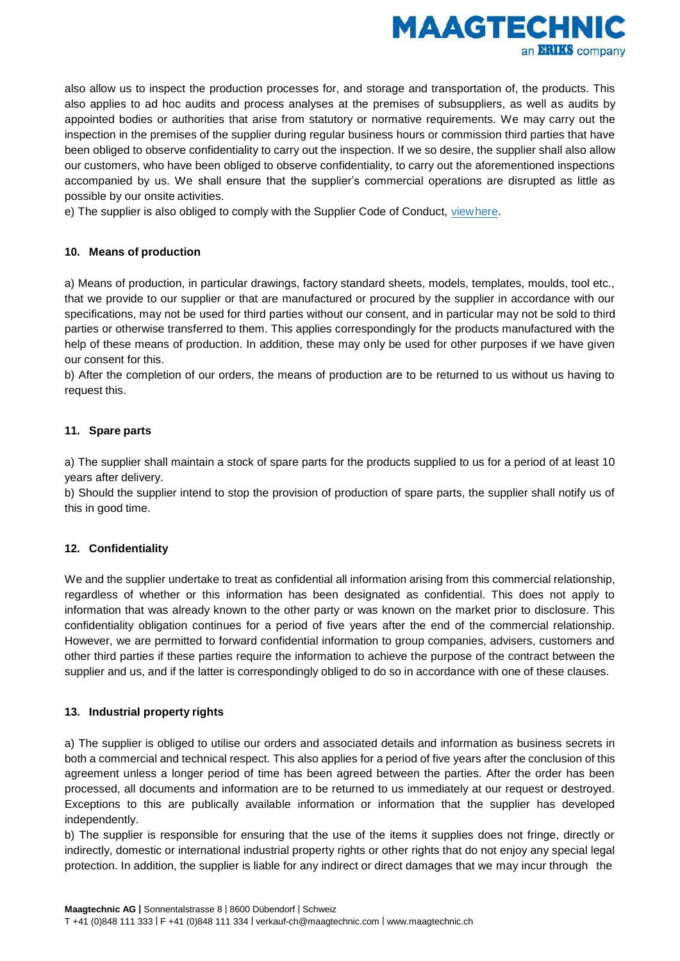

also allow us to inspect the production processes for, and storage and transportation of, the products. This also applies to ad hoc audits and process analyses at the premises of subsuppliers, as well as audits by appointed bodies or authorities that arise from statutory or normative requirements. We may carry out the inspection in the premises of the supplier during regular business hours or commission third parties that have been obliged to observe confidentiality to carry out the inspection. If we so desire, the supplier shall also allow our customers, who have been obliged to observe confidentiality, to carry out the aforementioned inspections accompanied by us. We shall ensure that the supplier's commercial operations are disrupted as little as possible by our onsite activities.

e) The supplier is also obliged to comply with the Supplier Code of Conduct, [viewhere.](http://www.maagtechnic.ch/de_CH/footer-navi/lieferanten.html)

## **10. Means of production**

a) Means of production, in particular drawings, factory standard sheets, models, templates, moulds, tool etc., that we provide to our supplier or that are manufactured or procured by the supplier in accordance with our specifications, may not be used for third parties without our consent, and in particular may not be sold to third parties or otherwise transferred to them. This applies correspondingly for the products manufactured with the help of these means of production. In addition, these may only be used for other purposes if we have given our consent for this.

b) After the completion of our orders, the means of production are to be returned to us without us having to request this.

# **11. Spare parts**

a) The supplier shall maintain a stock of spare parts for the products supplied to us for a period of at least 10 years after delivery.

b) Should the supplier intend to stop the provision of production of spare parts, the supplier shall notify us of this in good time.

## **12. Confidentiality**

We and the supplier undertake to treat as confidential all information arising from this commercial relationship, regardless of whether or this information has been designated as confidential. This does not apply to information that was already known to the other party or was known on the market prior to disclosure. This confidentiality obligation continues for a period of five years after the end of the commercial relationship. However, we are permitted to forward confidential information to group companies, advisers, customers and other third parties if these parties require the information to achieve the purpose of the contract between the supplier and us, and if the latter is correspondingly obliged to do so in accordance with one of these clauses.

## **13. Industrial property rights**

a) The supplier is obliged to utilise our orders and associated details and information as business secrets in both a commercial and technical respect. This also applies for a period of five years after the conclusion of this agreement unless a longer period of time has been agreed between the parties. After the order has been processed, all documents and information are to be returned to us immediately at our request or destroyed. Exceptions to this are publically available information or information that the supplier has developed independently.

b) The supplier is responsible for ensuring that the use of the items it supplies does not fringe, directly or indirectly, domestic or international industrial property rights or other rights that do not enjoy any special legal protection. In addition, the supplier is liable for any indirect or direct damages that we may incur through the